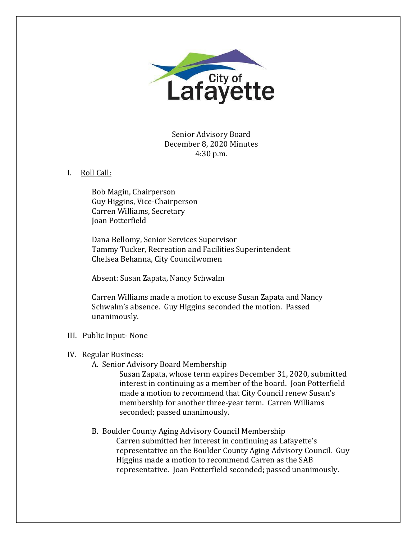

Senior Advisory Board December 8, 2020 Minutes 4:30 p.m.

## I. Roll Call:

Bob Magin, Chairperson Guy Higgins, Vice-Chairperson Carren Williams, Secretary Joan Potterfield

Dana Bellomy, Senior Services Supervisor Tammy Tucker, Recreation and Facilities Superintendent Chelsea Behanna, City Councilwomen

Absent: Susan Zapata, Nancy Schwalm

Carren Williams made a motion to excuse Susan Zapata and Nancy Schwalm's absence. Guy Higgins seconded the motion. Passed unanimously.

# III. Public Input- None

## IV. Regular Business:

A. Senior Advisory Board Membership

Susan Zapata, whose term expires December 31, 2020, submitted interest in continuing as a member of the board. Joan Potterfield made a motion to recommend that City Council renew Susan's membership for another three-year term. Carren Williams seconded; passed unanimously.

# B. Boulder County Aging Advisory Council Membership

Carren submitted her interest in continuing as Lafayette's representative on the Boulder County Aging Advisory Council. Guy Higgins made a motion to recommend Carren as the SAB representative. Joan Potterfield seconded; passed unanimously.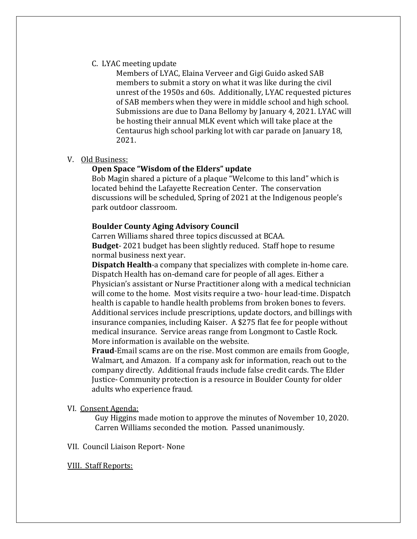## C. LYAC meeting update

Members of LYAC, Elaina Verveer and Gigi Guido asked SAB members to submit a story on what it was like during the civil unrest of the 1950s and 60s. Additionally, LYAC requested pictures of SAB members when they were in middle school and high school. Submissions are due to Dana Bellomy by January 4, 2021. LYAC will be hosting their annual MLK event which will take place at the Centaurus high school parking lot with car parade on January 18, 2021.

## V. Old Business:

## **Open Space "Wisdom of the Elders" update**

Bob Magin shared a picture of a plaque "Welcome to this land" which is located behind the Lafayette Recreation Center. The conservation discussions will be scheduled, Spring of 2021 at the Indigenous people's park outdoor classroom.

## **Boulder County Aging Advisory Council**

Carren Williams shared three topics discussed at BCAA. **Budget**- 2021 budget has been slightly reduced. Staff hope to resume normal business next year.

**Dispatch Health**-a company that specializes with complete in-home care. Dispatch Health has on-demand care for people of all ages. Either a Physician's assistant or Nurse Practitioner along with a medical technician will come to the home. Most visits require a two- hour lead-time. Dispatch health is capable to handle health problems from broken bones to fevers. Additional services include prescriptions, update doctors, and billings with insurance companies, including Kaiser. A \$275 flat fee for people without medical insurance. Service areas range from Longmont to Castle Rock. More information is available on the website.

**Fraud**-Email scams are on the rise. Most common are emails from Google, Walmart, and Amazon. If a company ask for information, reach out to the company directly. Additional frauds include false credit cards. The Elder Justice- Community protection is a resource in Boulder County for older adults who experience fraud.

#### VI. Consent Agenda:

Guy Higgins made motion to approve the minutes of November 10, 2020. Carren Williams seconded the motion. Passed unanimously.

### VII. Council Liaison Report- None

#### VIII. Staff Reports: